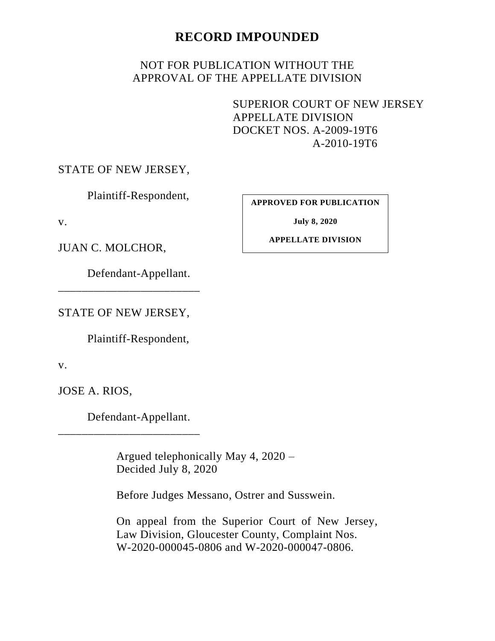## **RECORD IMPOUNDED**

## NOT FOR PUBLICATION WITHOUT THE APPROVAL OF THE APPELLATE DIVISION

SUPERIOR COURT OF NEW JERSEY APPELLATE DIVISION DOCKET NOS. A-2009-19T6 A-2010-19T6

STATE OF NEW JERSEY,

Plaintiff-Respondent,

v.

JUAN C. MOLCHOR,

Defendant-Appellant.

STATE OF NEW JERSEY,

\_\_\_\_\_\_\_\_\_\_\_\_\_\_\_\_\_\_\_\_\_\_\_\_

Plaintiff-Respondent,

v.

JOSE A. RIOS,

Defendant-Appellant.

\_\_\_\_\_\_\_\_\_\_\_\_\_\_\_\_\_\_\_\_\_\_\_\_

Argued telephonically May 4, 2020 – Decided July 8, 2020

Before Judges Messano, Ostrer and Susswein.

On appeal from the Superior Court of New Jersey, Law Division, Gloucester County, Complaint Nos. W-2020-000045-0806 and W-2020-000047-0806.

**APPROVED FOR PUBLICATION**

**July 8, 2020**

**APPELLATE DIVISION**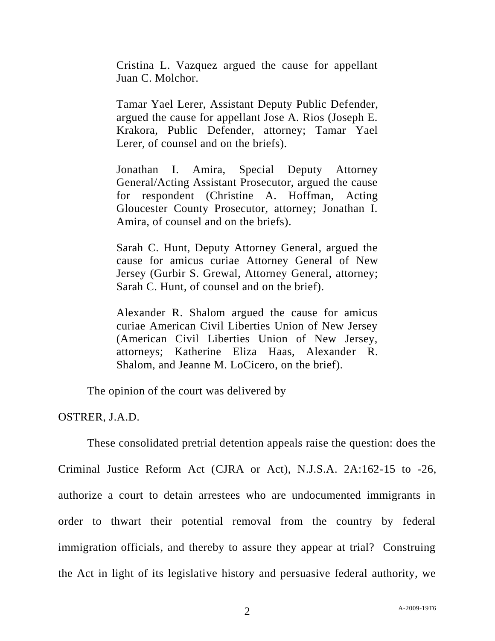Cristina L. Vazquez argued the cause for appellant Juan C. Molchor.

Tamar Yael Lerer, Assistant Deputy Public Defender, argued the cause for appellant Jose A. Rios (Joseph E. Krakora, Public Defender, attorney; Tamar Yael Lerer, of counsel and on the briefs).

Jonathan I. Amira, Special Deputy Attorney General/Acting Assistant Prosecutor, argued the cause for respondent (Christine A. Hoffman, Acting Gloucester County Prosecutor, attorney; Jonathan I. Amira, of counsel and on the briefs).

Sarah C. Hunt, Deputy Attorney General, argued the cause for amicus curiae Attorney General of New Jersey (Gurbir S. Grewal, Attorney General, attorney; Sarah C. Hunt, of counsel and on the brief).

Alexander R. Shalom argued the cause for amicus curiae American Civil Liberties Union of New Jersey (American Civil Liberties Union of New Jersey, attorneys; Katherine Eliza Haas, Alexander R. Shalom, and Jeanne M. LoCicero, on the brief).

The opinion of the court was delivered by

OSTRER, J.A.D.

These consolidated pretrial detention appeals raise the question: does the Criminal Justice Reform Act (CJRA or Act), N.J.S.A. 2A:162-15 to -26, authorize a court to detain arrestees who are undocumented immigrants in order to thwart their potential removal from the country by federal immigration officials, and thereby to assure they appear at trial? Construing the Act in light of its legislative history and persuasive federal authority, we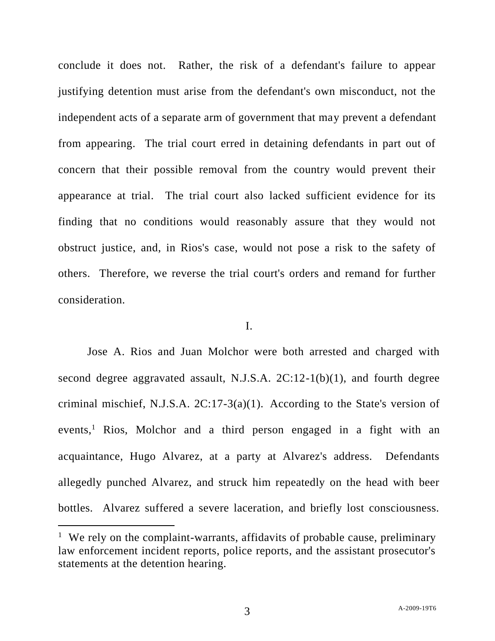conclude it does not. Rather, the risk of a defendant's failure to appear justifying detention must arise from the defendant's own misconduct, not the independent acts of a separate arm of government that may prevent a defendant from appearing. The trial court erred in detaining defendants in part out of concern that their possible removal from the country would prevent their appearance at trial. The trial court also lacked sufficient evidence for its finding that no conditions would reasonably assure that they would not obstruct justice, and, in Rios's case, would not pose a risk to the safety of others. Therefore, we reverse the trial court's orders and remand for further consideration.

## I.

Jose A. Rios and Juan Molchor were both arrested and charged with second degree aggravated assault, N.J.S.A. 2C:12-1(b)(1), and fourth degree criminal mischief, N.J.S.A. 2C:17-3(a)(1). According to the State's version of events,<sup>1</sup> Rios, Molchor and a third person engaged in a fight with an acquaintance, Hugo Alvarez, at a party at Alvarez's address. Defendants allegedly punched Alvarez, and struck him repeatedly on the head with beer bottles. Alvarez suffered a severe laceration, and briefly lost consciousness.

<sup>&</sup>lt;sup>1</sup> We rely on the complaint-warrants, affidavits of probable cause, preliminary law enforcement incident reports, police reports, and the assistant prosecutor's statements at the detention hearing.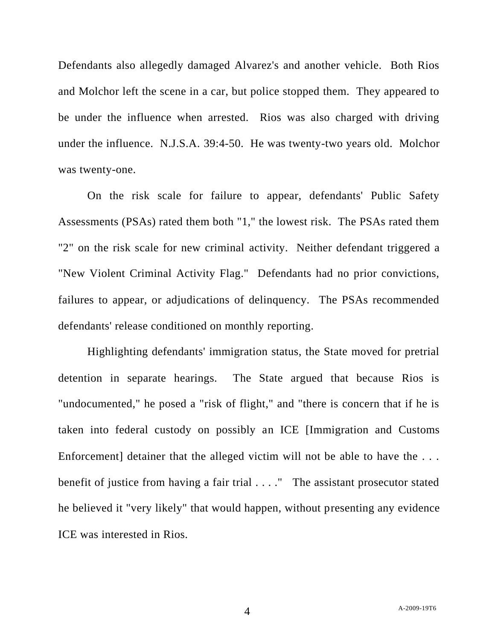Defendants also allegedly damaged Alvarez's and another vehicle. Both Rios and Molchor left the scene in a car, but police stopped them. They appeared to be under the influence when arrested. Rios was also charged with driving under the influence. N.J.S.A. 39:4-50. He was twenty-two years old. Molchor was twenty-one.

On the risk scale for failure to appear, defendants' Public Safety Assessments (PSAs) rated them both "1," the lowest risk. The PSAs rated them "2" on the risk scale for new criminal activity. Neither defendant triggered a "New Violent Criminal Activity Flag." Defendants had no prior convictions, failures to appear, or adjudications of delinquency. The PSAs recommended defendants' release conditioned on monthly reporting.

Highlighting defendants' immigration status, the State moved for pretrial detention in separate hearings. The State argued that because Rios is "undocumented," he posed a "risk of flight," and "there is concern that if he is taken into federal custody on possibly an ICE [Immigration and Customs Enforcement] detainer that the alleged victim will not be able to have the ... benefit of justice from having a fair trial . . . ." The assistant prosecutor stated he believed it "very likely" that would happen, without presenting any evidence ICE was interested in Rios.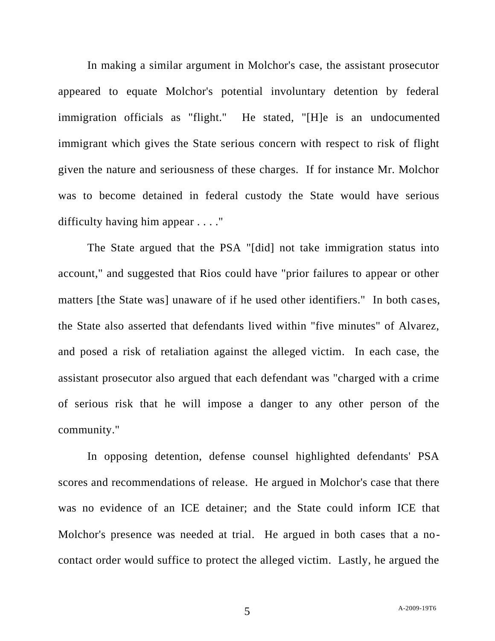In making a similar argument in Molchor's case, the assistant prosecutor appeared to equate Molchor's potential involuntary detention by federal immigration officials as "flight." He stated, "[H]e is an undocumented immigrant which gives the State serious concern with respect to risk of flight given the nature and seriousness of these charges. If for instance Mr. Molchor was to become detained in federal custody the State would have serious difficulty having him appear . . . ."

The State argued that the PSA "[did] not take immigration status into account," and suggested that Rios could have "prior failures to appear or other matters [the State was] unaware of if he used other identifiers." In both cases, the State also asserted that defendants lived within "five minutes" of Alvarez, and posed a risk of retaliation against the alleged victim. In each case, the assistant prosecutor also argued that each defendant was "charged with a crime of serious risk that he will impose a danger to any other person of the community."

In opposing detention, defense counsel highlighted defendants' PSA scores and recommendations of release. He argued in Molchor's case that there was no evidence of an ICE detainer; and the State could inform ICE that Molchor's presence was needed at trial. He argued in both cases that a nocontact order would suffice to protect the alleged victim. Lastly, he argued the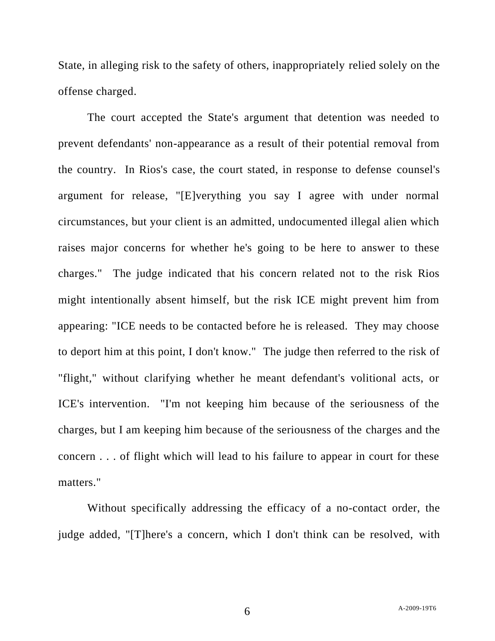State, in alleging risk to the safety of others, inappropriately relied solely on the offense charged.

The court accepted the State's argument that detention was needed to prevent defendants' non-appearance as a result of their potential removal from the country. In Rios's case, the court stated, in response to defense counsel's argument for release, "[E]verything you say I agree with under normal circumstances, but your client is an admitted, undocumented illegal alien which raises major concerns for whether he's going to be here to answer to these charges." The judge indicated that his concern related not to the risk Rios might intentionally absent himself, but the risk ICE might prevent him from appearing: "ICE needs to be contacted before he is released. They may choose to deport him at this point, I don't know." The judge then referred to the risk of "flight," without clarifying whether he meant defendant's volitional acts, or ICE's intervention. "I'm not keeping him because of the seriousness of the charges, but I am keeping him because of the seriousness of the charges and the concern . . . of flight which will lead to his failure to appear in court for these matters."

Without specifically addressing the efficacy of a no-contact order, the judge added, "[T]here's a concern, which I don't think can be resolved, with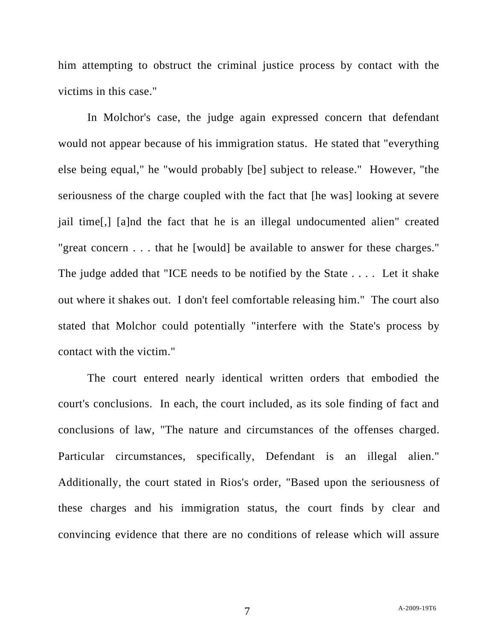him attempting to obstruct the criminal justice process by contact with the victims in this case."

In Molchor's case, the judge again expressed concern that defendant would not appear because of his immigration status. He stated that "everything else being equal," he "would probably [be] subject to release." However, "the seriousness of the charge coupled with the fact that [he was] looking at severe jail time[,] [a]nd the fact that he is an illegal undocumented alien" created "great concern . . . that he [would] be available to answer for these charges." The judge added that "ICE needs to be notified by the State . . . . Let it shake out where it shakes out. I don't feel comfortable releasing him." The court also stated that Molchor could potentially "interfere with the State's process by contact with the victim."

The court entered nearly identical written orders that embodied the court's conclusions. In each, the court included, as its sole finding of fact and conclusions of law, "The nature and circumstances of the offenses charged. Particular circumstances, specifically, Defendant is an illegal alien." Additionally, the court stated in Rios's order, "Based upon the seriousness of these charges and his immigration status, the court finds by clear and convincing evidence that there are no conditions of release which will assure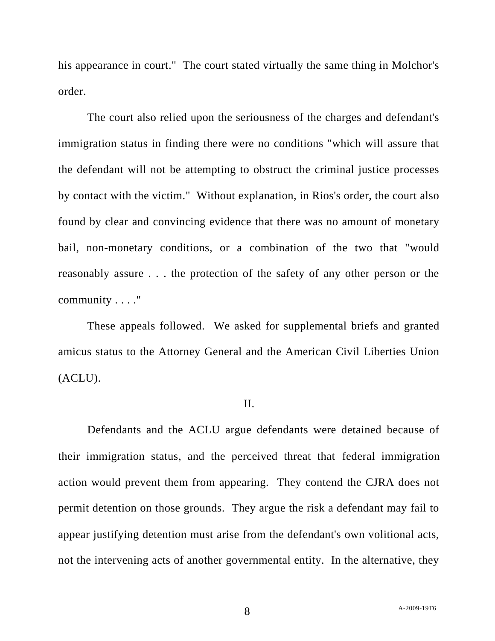his appearance in court." The court stated virtually the same thing in Molchor's order.

The court also relied upon the seriousness of the charges and defendant's immigration status in finding there were no conditions "which will assure that the defendant will not be attempting to obstruct the criminal justice processes by contact with the victim." Without explanation, in Rios's order, the court also found by clear and convincing evidence that there was no amount of monetary bail, non-monetary conditions, or a combination of the two that "would reasonably assure . . . the protection of the safety of any other person or the community . . . ."

These appeals followed. We asked for supplemental briefs and granted amicus status to the Attorney General and the American Civil Liberties Union (ACLU).

## II.

Defendants and the ACLU argue defendants were detained because of their immigration status, and the perceived threat that federal immigration action would prevent them from appearing. They contend the CJRA does not permit detention on those grounds. They argue the risk a defendant may fail to appear justifying detention must arise from the defendant's own volitional acts, not the intervening acts of another governmental entity. In the alternative, they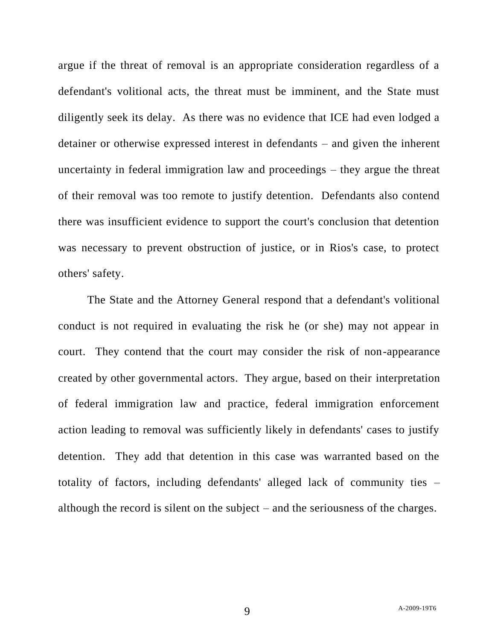argue if the threat of removal is an appropriate consideration regardless of a defendant's volitional acts, the threat must be imminent, and the State must diligently seek its delay. As there was no evidence that ICE had even lodged a detainer or otherwise expressed interest in defendants – and given the inherent uncertainty in federal immigration law and proceedings – they argue the threat of their removal was too remote to justify detention. Defendants also contend there was insufficient evidence to support the court's conclusion that detention was necessary to prevent obstruction of justice, or in Rios's case, to protect others' safety.

The State and the Attorney General respond that a defendant's volitional conduct is not required in evaluating the risk he (or she) may not appear in court. They contend that the court may consider the risk of non-appearance created by other governmental actors. They argue, based on their interpretation of federal immigration law and practice, federal immigration enforcement action leading to removal was sufficiently likely in defendants' cases to justify detention. They add that detention in this case was warranted based on the totality of factors, including defendants' alleged lack of community ties – although the record is silent on the subject – and the seriousness of the charges.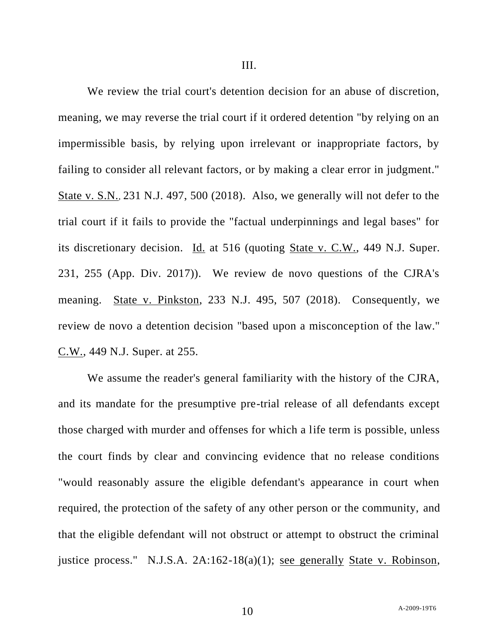We review the trial court's detention decision for an abuse of discretion, meaning, we may reverse the trial court if it ordered detention "by relying on an impermissible basis, by relying upon irrelevant or inappropriate factors, by failing to consider all relevant factors, or by making a clear error in judgment." State v. S.N., 231 N.J. 497, 500 (2018). Also, we generally will not defer to the trial court if it fails to provide the "factual underpinnings and legal bases" for its discretionary decision. Id. at 516 (quoting State v. C.W., 449 N.J. Super. 231, 255 (App. Div. 2017)). We review de novo questions of the CJRA's meaning. State v. Pinkston, 233 N.J. 495, 507 (2018). Consequently, we review de novo a detention decision "based upon a misconception of the law." C.W., 449 N.J. Super. at 255.

We assume the reader's general familiarity with the history of the CJRA, and its mandate for the presumptive pre-trial release of all defendants except those charged with murder and offenses for which a life term is possible, unless the court finds by clear and convincing evidence that no release conditions "would reasonably assure the eligible defendant's appearance in court when required, the protection of the safety of any other person or the community, and that the eligible defendant will not obstruct or attempt to obstruct the criminal justice process." N.J.S.A. 2A:162-18(a)(1); see generally State v. Robinson,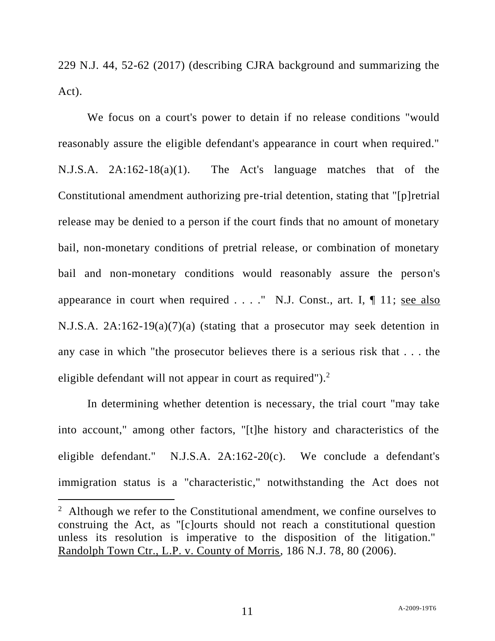229 N.J. 44, 52-62 (2017) (describing CJRA background and summarizing the Act).

We focus on a court's power to detain if no release conditions "would reasonably assure the eligible defendant's appearance in court when required." N.J.S.A. 2A:162-18(a)(1). The Act's language matches that of the Constitutional amendment authorizing pre-trial detention, stating that "[p]retrial release may be denied to a person if the court finds that no amount of monetary bail, non-monetary conditions of pretrial release, or combination of monetary bail and non-monetary conditions would reasonably assure the person's appearance in court when required  $\dots$ ." N.J. Const., art. I,  $\P$  11; see also N.J.S.A. 2A:162-19(a)(7)(a) (stating that a prosecutor may seek detention in any case in which "the prosecutor believes there is a serious risk that . . . the eligible defendant will not appear in court as required"). $2$ 

In determining whether detention is necessary, the trial court "may take into account," among other factors, "[t]he history and characteristics of the eligible defendant." N.J.S.A. 2A:162-20(c). We conclude a defendant's immigration status is a "characteristic," notwithstanding the Act does not

<sup>&</sup>lt;sup>2</sup> Although we refer to the Constitutional amendment, we confine ourselves to construing the Act, as "[c]ourts should not reach a constitutional question unless its resolution is imperative to the disposition of the litigation." Randolph Town Ctr., L.P. v. County of Morris, 186 N.J. 78, 80 (2006).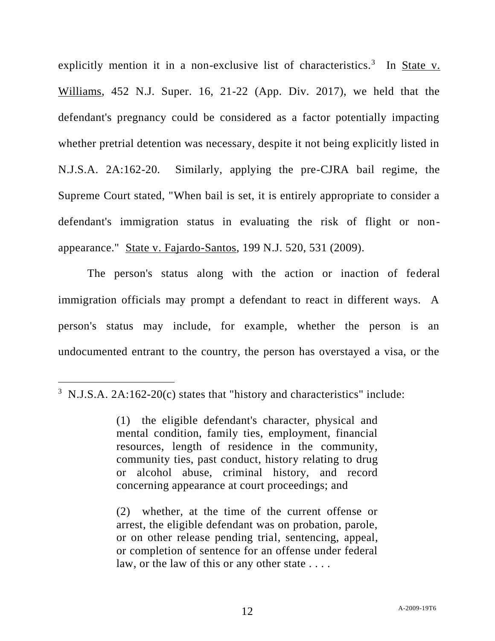explicitly mention it in a non-exclusive list of characteristics.<sup>3</sup> In <u>State v.</u> Williams, 452 N.J. Super. 16, 21-22 (App. Div. 2017), we held that the defendant's pregnancy could be considered as a factor potentially impacting whether pretrial detention was necessary, despite it not being explicitly listed in N.J.S.A. 2A:162-20. Similarly, applying the pre-CJRA bail regime, the Supreme Court stated, "When bail is set, it is entirely appropriate to consider a defendant's immigration status in evaluating the risk of flight or nonappearance." State v. Fajardo-Santos, 199 N.J. 520, 531 (2009).

The person's status along with the action or inaction of federal immigration officials may prompt a defendant to react in different ways. A person's status may include, for example, whether the person is an undocumented entrant to the country, the person has overstayed a visa, or the

(2) whether, at the time of the current offense or arrest, the eligible defendant was on probation, parole, or on other release pending trial, sentencing, appeal, or completion of sentence for an offense under federal law, or the law of this or any other state ....

 $3$  N.J.S.A. 2A:162-20(c) states that "history and characteristics" include:

<sup>(1)</sup> the eligible defendant's character, physical and mental condition, family ties, employment, financial resources, length of residence in the community, community ties, past conduct, history relating to drug or alcohol abuse, criminal history, and record concerning appearance at court proceedings; and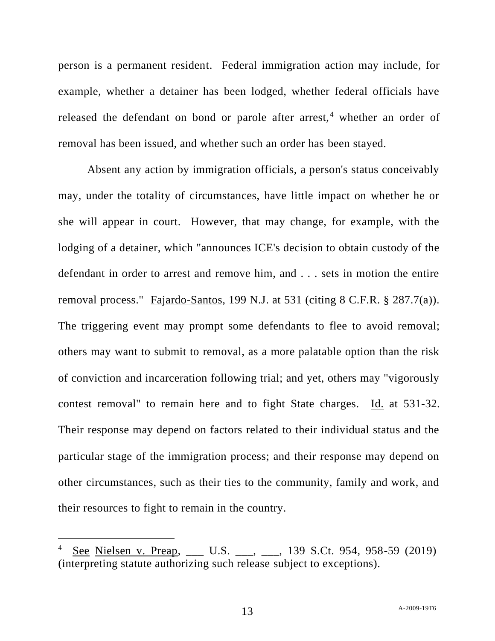person is a permanent resident. Federal immigration action may include, for example, whether a detainer has been lodged, whether federal officials have released the defendant on bond or parole after arrest,<sup>4</sup> whether an order of removal has been issued, and whether such an order has been stayed.

Absent any action by immigration officials, a person's status conceivably may, under the totality of circumstances, have little impact on whether he or she will appear in court. However, that may change, for example, with the lodging of a detainer, which "announces ICE's decision to obtain custody of the defendant in order to arrest and remove him, and . . . sets in motion the entire removal process." Fajardo-Santos, 199 N.J. at 531 (citing 8 C.F.R. § 287.7(a)). The triggering event may prompt some defendants to flee to avoid removal; others may want to submit to removal, as a more palatable option than the risk of conviction and incarceration following trial; and yet, others may "vigorously contest removal" to remain here and to fight State charges. Id. at 531-32. Their response may depend on factors related to their individual status and the particular stage of the immigration process; and their response may depend on other circumstances, such as their ties to the community, family and work, and their resources to fight to remain in the country.

<sup>4</sup> See Nielsen v. Preap, \_\_\_ U.S. \_\_\_, \_\_, 139 S.Ct. 954, 958-59 (2019) (interpreting statute authorizing such release subject to exceptions).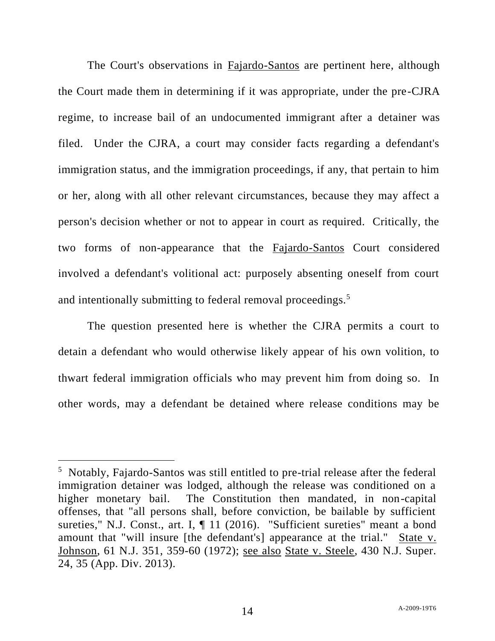The Court's observations in Fajardo-Santos are pertinent here, although the Court made them in determining if it was appropriate, under the pre-CJRA regime, to increase bail of an undocumented immigrant after a detainer was filed. Under the CJRA, a court may consider facts regarding a defendant's immigration status, and the immigration proceedings, if any, that pertain to him or her, along with all other relevant circumstances, because they may affect a person's decision whether or not to appear in court as required. Critically, the two forms of non-appearance that the Fajardo-Santos Court considered involved a defendant's volitional act: purposely absenting oneself from court and intentionally submitting to federal removal proceedings.<sup>5</sup>

The question presented here is whether the CJRA permits a court to detain a defendant who would otherwise likely appear of his own volition, to thwart federal immigration officials who may prevent him from doing so. In other words, may a defendant be detained where release conditions may be

<sup>&</sup>lt;sup>5</sup> Notably, Fajardo-Santos was still entitled to pre-trial release after the federal immigration detainer was lodged, although the release was conditioned on a higher monetary bail. The Constitution then mandated, in non-capital offenses, that "all persons shall, before conviction, be bailable by sufficient sureties," N.J. Const., art. I,  $\P$  11 (2016). "Sufficient sureties" meant a bond amount that "will insure [the defendant's] appearance at the trial." State v. Johnson, 61 N.J. 351, 359-60 (1972); see also State v. Steele, 430 N.J. Super. 24, 35 (App. Div. 2013).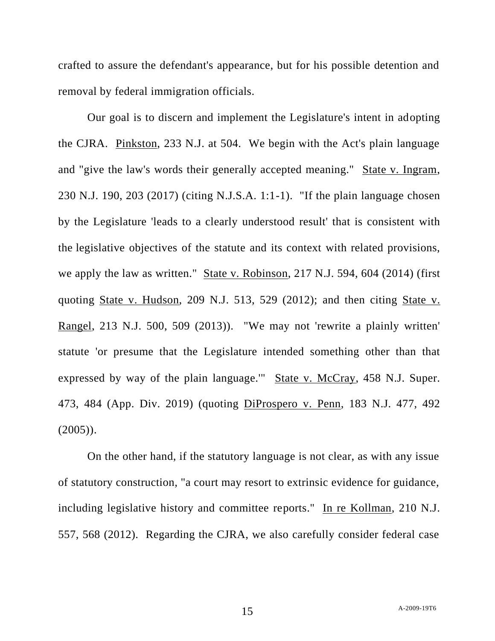crafted to assure the defendant's appearance, but for his possible detention and removal by federal immigration officials.

Our goal is to discern and implement the Legislature's intent in adopting the CJRA. Pinkston, 233 N.J. at 504. We begin with the Act's plain language and "give the law's words their generally accepted meaning." State v. Ingram, 230 N.J. 190, 203 (2017) (citing N.J.S.A. 1:1-1). "If the plain language chosen by the Legislature 'leads to a clearly understood result' that is consistent with the legislative objectives of the statute and its context with related provisions, we apply the law as written." State v. Robinson, 217 N.J. 594, 604 (2014) (first quoting State v. Hudson, 209 N.J. 513, 529 (2012); and then citing State v. Rangel, 213 N.J. 500, 509 (2013)). "We may not 'rewrite a plainly written' statute 'or presume that the Legislature intended something other than that expressed by way of the plain language.'" State v. McCray, 458 N.J. Super. 473, 484 (App. Div. 2019) (quoting DiProspero v. Penn, 183 N.J. 477, 492  $(2005)$ ).

On the other hand, if the statutory language is not clear, as with any issue of statutory construction, "a court may resort to extrinsic evidence for guidance, including legislative history and committee reports." In re Kollman, 210 N.J. 557, 568 (2012). Regarding the CJRA, we also carefully consider federal case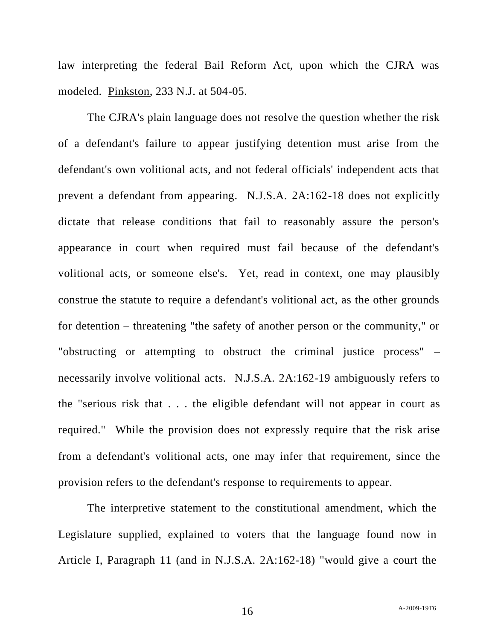law interpreting the federal Bail Reform Act, upon which the CJRA was modeled. Pinkston, 233 N.J. at 504-05.

The CJRA's plain language does not resolve the question whether the risk of a defendant's failure to appear justifying detention must arise from the defendant's own volitional acts, and not federal officials' independent acts that prevent a defendant from appearing. N.J.S.A. 2A:162-18 does not explicitly dictate that release conditions that fail to reasonably assure the person's appearance in court when required must fail because of the defendant's volitional acts, or someone else's. Yet, read in context, one may plausibly construe the statute to require a defendant's volitional act, as the other grounds for detention – threatening "the safety of another person or the community," or "obstructing or attempting to obstruct the criminal justice process" – necessarily involve volitional acts. N.J.S.A. 2A:162-19 ambiguously refers to the "serious risk that . . . the eligible defendant will not appear in court as required." While the provision does not expressly require that the risk arise from a defendant's volitional acts, one may infer that requirement, since the provision refers to the defendant's response to requirements to appear.

The interpretive statement to the constitutional amendment, which the Legislature supplied, explained to voters that the language found now in Article I, Paragraph 11 (and in N.J.S.A. 2A:162-18) "would give a court the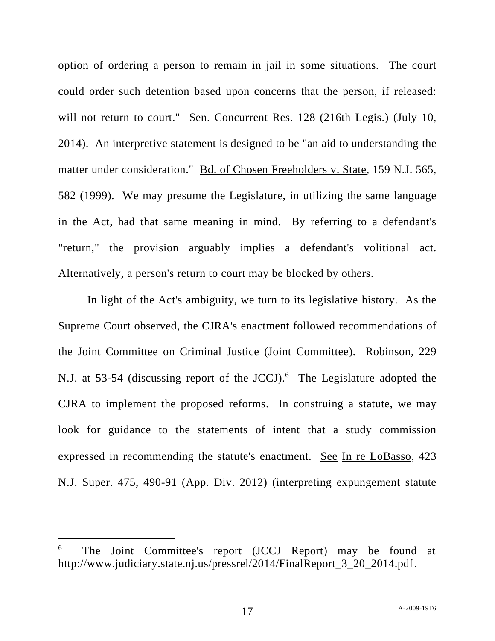option of ordering a person to remain in jail in some situations. The court could order such detention based upon concerns that the person, if released: will not return to court." Sen. Concurrent Res. 128 (216th Legis.) (July 10, 2014). An interpretive statement is designed to be "an aid to understanding the matter under consideration." Bd. of Chosen Freeholders v. State, 159 N.J. 565, 582 (1999). We may presume the Legislature, in utilizing the same language in the Act, had that same meaning in mind. By referring to a defendant's "return," the provision arguably implies a defendant's volitional act. Alternatively, a person's return to court may be blocked by others.

In light of the Act's ambiguity, we turn to its legislative history. As the Supreme Court observed, the CJRA's enactment followed recommendations of the Joint Committee on Criminal Justice (Joint Committee). Robinson, 229 N.J. at 53-54 (discussing report of the JCCJ).<sup>6</sup> The Legislature adopted the CJRA to implement the proposed reforms. In construing a statute, we may look for guidance to the statements of intent that a study commission expressed in recommending the statute's enactment. See In re LoBasso, 423 N.J. Super. 475, 490-91 (App. Div. 2012) (interpreting expungement statute

<sup>6</sup> The Joint Committee's report (JCCJ Report) may be found at http://www.judiciary.state.nj.us/pressrel/2014/FinalReport\_3\_20\_2014.pdf.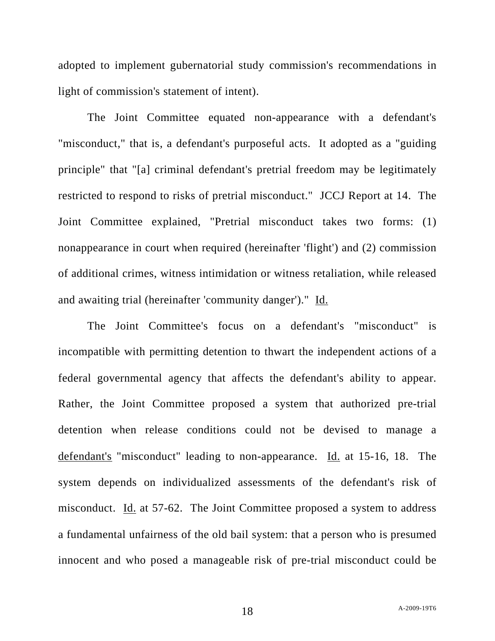adopted to implement gubernatorial study commission's recommendations in light of commission's statement of intent).

The Joint Committee equated non-appearance with a defendant's "misconduct," that is, a defendant's purposeful acts. It adopted as a "guiding principle" that "[a] criminal defendant's pretrial freedom may be legitimately restricted to respond to risks of pretrial misconduct." JCCJ Report at 14. The Joint Committee explained, "Pretrial misconduct takes two forms: (1) nonappearance in court when required (hereinafter 'flight') and (2) commission of additional crimes, witness intimidation or witness retaliation, while released and awaiting trial (hereinafter 'community danger')." Id.

The Joint Committee's focus on a defendant's "misconduct" is incompatible with permitting detention to thwart the independent actions of a federal governmental agency that affects the defendant's ability to appear. Rather, the Joint Committee proposed a system that authorized pre-trial detention when release conditions could not be devised to manage a defendant's "misconduct" leading to non-appearance. Id. at 15-16, 18. The system depends on individualized assessments of the defendant's risk of misconduct. Id. at 57-62. The Joint Committee proposed a system to address a fundamental unfairness of the old bail system: that a person who is presumed innocent and who posed a manageable risk of pre-trial misconduct could be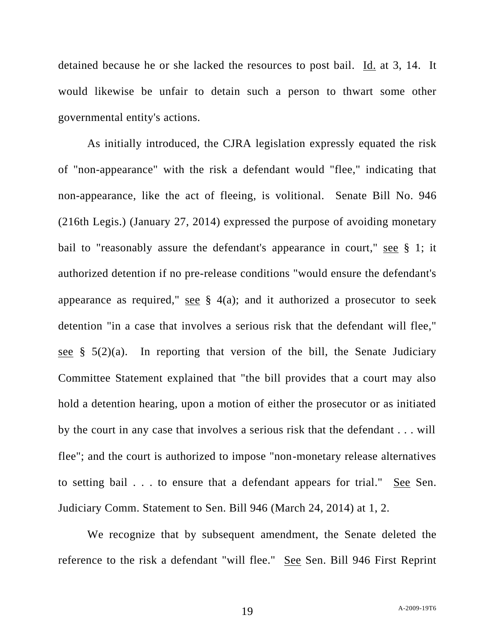detained because he or she lacked the resources to post bail. Id. at 3, 14. It would likewise be unfair to detain such a person to thwart some other governmental entity's actions.

As initially introduced, the CJRA legislation expressly equated the risk of "non-appearance" with the risk a defendant would "flee," indicating that non-appearance, like the act of fleeing, is volitional. Senate Bill No. 946 (216th Legis.) (January 27, 2014) expressed the purpose of avoiding monetary bail to "reasonably assure the defendant's appearance in court," see § 1; it authorized detention if no pre-release conditions "would ensure the defendant's appearance as required," see  $\S$  4(a); and it authorized a prosecutor to seek detention "in a case that involves a serious risk that the defendant will flee," see  $\S$  5(2)(a). In reporting that version of the bill, the Senate Judiciary Committee Statement explained that "the bill provides that a court may also hold a detention hearing, upon a motion of either the prosecutor or as initiated by the court in any case that involves a serious risk that the defendant . . . will flee"; and the court is authorized to impose "non-monetary release alternatives to setting bail . . . to ensure that a defendant appears for trial." See Sen. Judiciary Comm. Statement to Sen. Bill 946 (March 24, 2014) at 1, 2.

We recognize that by subsequent amendment, the Senate deleted the reference to the risk a defendant "will flee." See Sen. Bill 946 First Reprint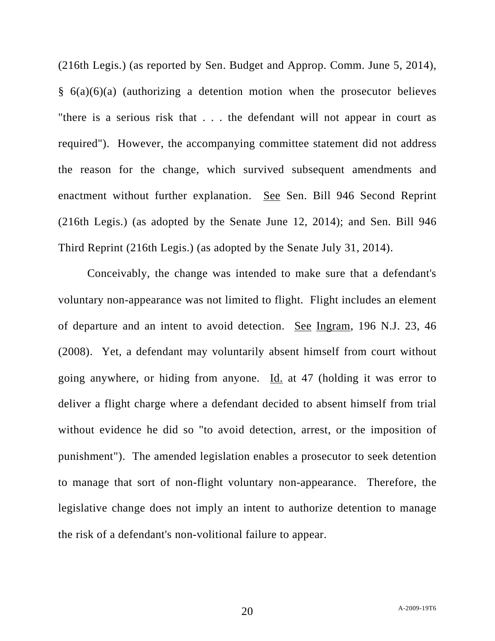(216th Legis.) (as reported by Sen. Budget and Approp. Comm. June 5, 2014),  $§ 6(a)(6)(a)$  (authorizing a detention motion when the prosecutor believes "there is a serious risk that . . . the defendant will not appear in court as required"). However, the accompanying committee statement did not address the reason for the change, which survived subsequent amendments and enactment without further explanation. See Sen. Bill 946 Second Reprint (216th Legis.) (as adopted by the Senate June 12, 2014); and Sen. Bill 946 Third Reprint (216th Legis.) (as adopted by the Senate July 31, 2014).

Conceivably, the change was intended to make sure that a defendant's voluntary non-appearance was not limited to flight. Flight includes an element of departure and an intent to avoid detection. See Ingram, 196 N.J. 23, 46 (2008). Yet, a defendant may voluntarily absent himself from court without going anywhere, or hiding from anyone. Id. at 47 (holding it was error to deliver a flight charge where a defendant decided to absent himself from trial without evidence he did so "to avoid detection, arrest, or the imposition of punishment"). The amended legislation enables a prosecutor to seek detention to manage that sort of non-flight voluntary non-appearance. Therefore, the legislative change does not imply an intent to authorize detention to manage the risk of a defendant's non-volitional failure to appear.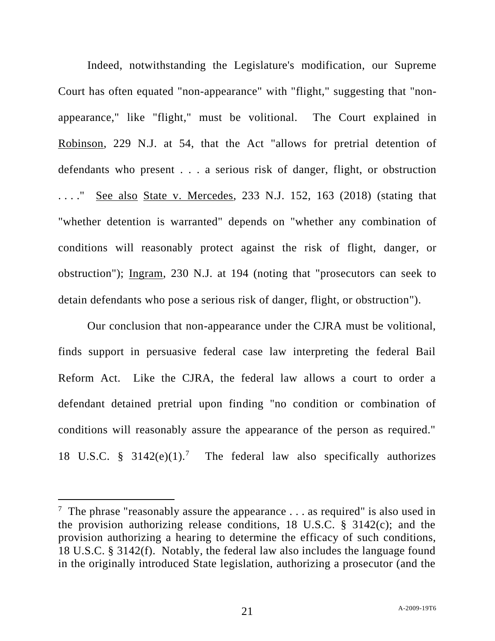Indeed, notwithstanding the Legislature's modification, our Supreme Court has often equated "non-appearance" with "flight," suggesting that "nonappearance," like "flight," must be volitional. The Court explained in Robinson, 229 N.J. at 54, that the Act "allows for pretrial detention of defendants who present . . . a serious risk of danger, flight, or obstruction . . . ." See also State v. Mercedes, 233 N.J. 152, 163 (2018) (stating that "whether detention is warranted" depends on "whether any combination of conditions will reasonably protect against the risk of flight, danger, or obstruction"); Ingram, 230 N.J. at 194 (noting that "prosecutors can seek to detain defendants who pose a serious risk of danger, flight, or obstruction").

Our conclusion that non-appearance under the CJRA must be volitional, finds support in persuasive federal case law interpreting the federal Bail Reform Act. Like the CJRA, the federal law allows a court to order a defendant detained pretrial upon finding "no condition or combination of conditions will reasonably assure the appearance of the person as required." 18 U.S.C. §  $3142(e)(1)$ .<sup>7</sup> The federal law also specifically authorizes

<sup>&</sup>lt;sup>7</sup> The phrase "reasonably assure the appearance  $\dots$  as required" is also used in the provision authorizing release conditions, 18 U.S.C.  $\S$  3142(c); and the provision authorizing a hearing to determine the efficacy of such conditions, 18 U.S.C. § 3142(f). Notably, the federal law also includes the language found in the originally introduced State legislation, authorizing a prosecutor (and the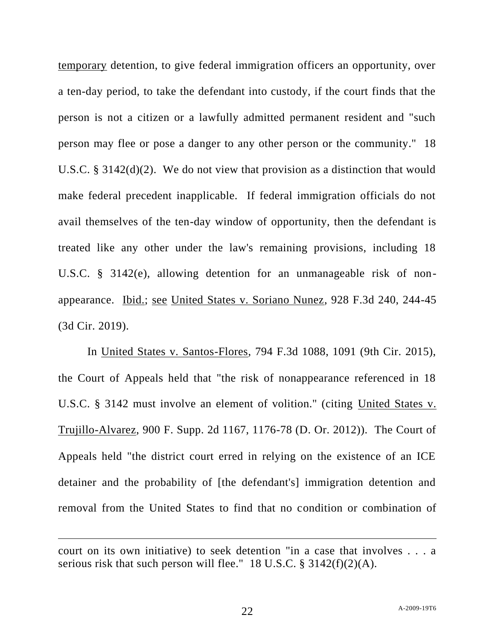temporary detention, to give federal immigration officers an opportunity, over a ten-day period, to take the defendant into custody, if the court finds that the person is not a citizen or a lawfully admitted permanent resident and "such person may flee or pose a danger to any other person or the community." 18 U.S.C. § 3142(d)(2). We do not view that provision as a distinction that would make federal precedent inapplicable. If federal immigration officials do not avail themselves of the ten-day window of opportunity, then the defendant is treated like any other under the law's remaining provisions, including 18 U.S.C. § 3142(e), allowing detention for an unmanageable risk of nonappearance. Ibid.; see United States v. Soriano Nunez, 928 F.3d 240, 244-45 (3d Cir. 2019).

In United States v. Santos-Flores, 794 F.3d 1088, 1091 (9th Cir. 2015), the Court of Appeals held that "the risk of nonappearance referenced in 18 U.S.C. § 3142 must involve an element of volition." (citing United States v. Trujillo-Alvarez, 900 F. Supp. 2d 1167, 1176-78 (D. Or. 2012)). The Court of Appeals held "the district court erred in relying on the existence of an ICE detainer and the probability of [the defendant's] immigration detention and removal from the United States to find that no condition or combination of

court on its own initiative) to seek detention "in a case that involves . . . a serious risk that such person will flee." 18 U.S.C. § 3142(f)(2)(A).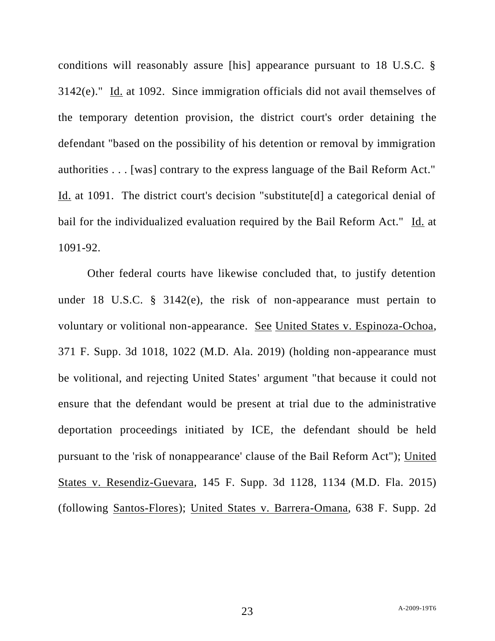conditions will reasonably assure [his] appearance pursuant to 18 U.S.C. § 3142(e)." Id. at 1092. Since immigration officials did not avail themselves of the temporary detention provision, the district court's order detaining the defendant "based on the possibility of his detention or removal by immigration authorities . . . [was] contrary to the express language of the Bail Reform Act." Id. at 1091. The district court's decision "substitute[d] a categorical denial of bail for the individualized evaluation required by the Bail Reform Act." Id. at 1091-92.

Other federal courts have likewise concluded that, to justify detention under 18 U.S.C. § 3142(e), the risk of non-appearance must pertain to voluntary or volitional non-appearance. See United States v. Espinoza-Ochoa, 371 F. Supp. 3d 1018, 1022 (M.D. Ala. 2019) (holding non-appearance must be volitional, and rejecting United States' argument "that because it could not ensure that the defendant would be present at trial due to the administrative deportation proceedings initiated by ICE, the defendant should be held pursuant to the 'risk of nonappearance' clause of the Bail Reform Act"); United States v. Resendiz-Guevara, 145 F. Supp. 3d 1128, 1134 (M.D. Fla. 2015) (following Santos-Flores); United States v. Barrera-Omana, 638 F. Supp. 2d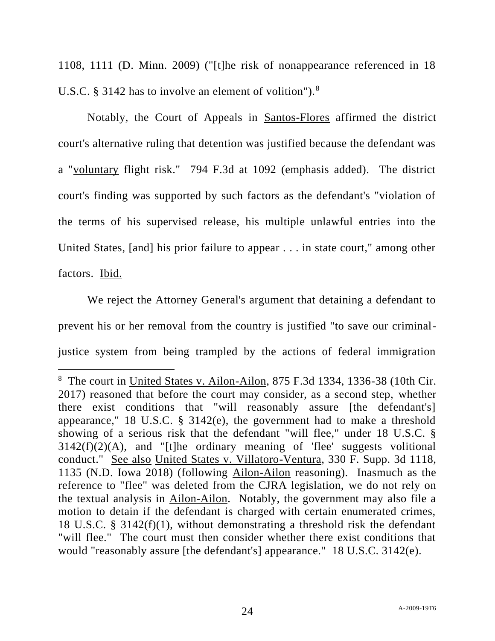1108, 1111 (D. Minn. 2009) ("[t]he risk of nonappearance referenced in 18 U.S.C.  $\S$  3142 has to involve an element of volition").<sup>8</sup>

Notably, the Court of Appeals in Santos-Flores affirmed the district court's alternative ruling that detention was justified because the defendant was a "voluntary flight risk." 794 F.3d at 1092 (emphasis added). The district court's finding was supported by such factors as the defendant's "violation of the terms of his supervised release, his multiple unlawful entries into the United States, [and] his prior failure to appear . . . in state court," among other factors. Ibid.

We reject the Attorney General's argument that detaining a defendant to prevent his or her removal from the country is justified "to save our criminaljustice system from being trampled by the actions of federal immigration

<sup>&</sup>lt;sup>8</sup> The court in United States v. Ailon-Ailon, 875 F.3d 1334, 1336-38 (10th Cir. 2017) reasoned that before the court may consider, as a second step, whether there exist conditions that "will reasonably assure [the defendant's] appearance," 18 U.S.C. § 3142(e), the government had to make a threshold showing of a serious risk that the defendant "will flee," under 18 U.S.C. §  $3142(f)(2)(A)$ , and "[t]he ordinary meaning of 'flee' suggests volitional conduct." See also United States v. Villatoro-Ventura, 330 F. Supp. 3d 1118, 1135 (N.D. Iowa 2018) (following Ailon-Ailon reasoning). Inasmuch as the reference to "flee" was deleted from the CJRA legislation, we do not rely on the textual analysis in Ailon-Ailon. Notably, the government may also file a motion to detain if the defendant is charged with certain enumerated crimes, 18 U.S.C. § 3142(f)(1), without demonstrating a threshold risk the defendant "will flee." The court must then consider whether there exist conditions that would "reasonably assure [the defendant's] appearance." 18 U.S.C. 3142(e).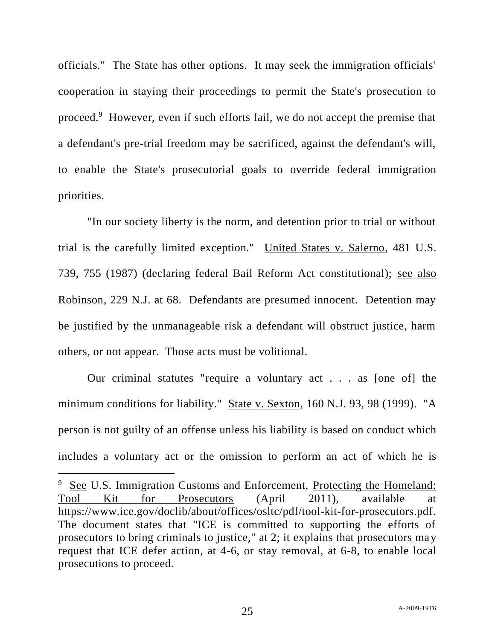officials." The State has other options. It may seek the immigration officials' cooperation in staying their proceedings to permit the State's prosecution to proceed.<sup>9</sup> However, even if such efforts fail, we do not accept the premise that a defendant's pre-trial freedom may be sacrificed, against the defendant's will, to enable the State's prosecutorial goals to override federal immigration priorities.

"In our society liberty is the norm, and detention prior to trial or without trial is the carefully limited exception." United States v. Salerno, 481 U.S. 739, 755 (1987) (declaring federal Bail Reform Act constitutional); see also Robinson, 229 N.J. at 68. Defendants are presumed innocent. Detention may be justified by the unmanageable risk a defendant will obstruct justice, harm others, or not appear. Those acts must be volitional.

Our criminal statutes "require a voluntary act . . . as [one of] the minimum conditions for liability." State v. Sexton, 160 N.J. 93, 98 (1999). "A person is not guilty of an offense unless his liability is based on conduct which includes a voluntary act or the omission to perform an act of which he is

See U.S. Immigration Customs and Enforcement, Protecting the Homeland: Tool Kit for Prosecutors (April 2011), available at https://www.ice.gov/doclib/about/offices/osltc/pdf/tool-kit-for-prosecutors.pdf. The document states that "ICE is committed to supporting the efforts of prosecutors to bring criminals to justice," at 2; it explains that prosecutors may request that ICE defer action, at 4-6, or stay removal, at 6-8, to enable local prosecutions to proceed.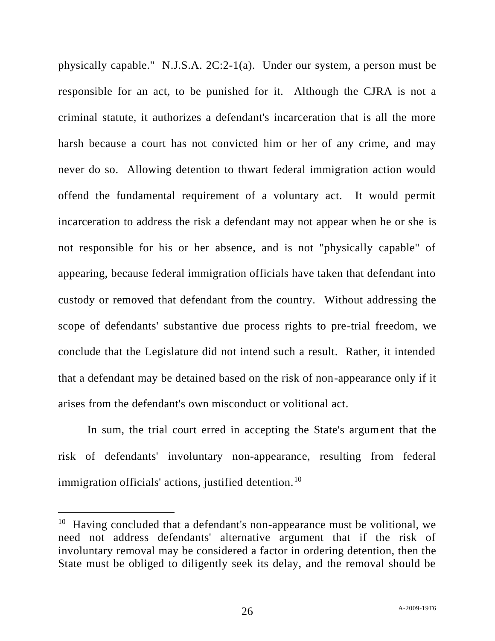physically capable." N.J.S.A. 2C:2-1(a). Under our system, a person must be responsible for an act, to be punished for it. Although the CJRA is not a criminal statute, it authorizes a defendant's incarceration that is all the more harsh because a court has not convicted him or her of any crime, and may never do so. Allowing detention to thwart federal immigration action would offend the fundamental requirement of a voluntary act. It would permit incarceration to address the risk a defendant may not appear when he or she is not responsible for his or her absence, and is not "physically capable" of appearing, because federal immigration officials have taken that defendant into custody or removed that defendant from the country. Without addressing the scope of defendants' substantive due process rights to pre-trial freedom, we conclude that the Legislature did not intend such a result. Rather, it intended that a defendant may be detained based on the risk of non-appearance only if it arises from the defendant's own misconduct or volitional act.

In sum, the trial court erred in accepting the State's argument that the risk of defendants' involuntary non-appearance, resulting from federal immigration officials' actions, justified detention.<sup>10</sup>

<sup>&</sup>lt;sup>10</sup> Having concluded that a defendant's non-appearance must be volitional, we need not address defendants' alternative argument that if the risk of involuntary removal may be considered a factor in ordering detention, then the State must be obliged to diligently seek its delay, and the removal should be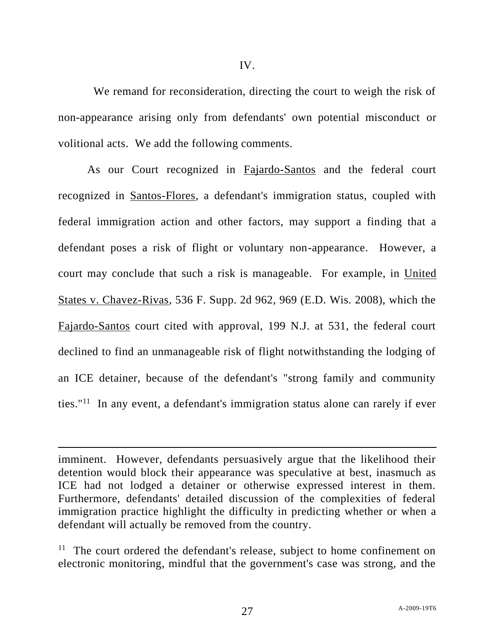We remand for reconsideration, directing the court to weigh the risk of non-appearance arising only from defendants' own potential misconduct or volitional acts. We add the following comments.

As our Court recognized in Fajardo-Santos and the federal court recognized in Santos-Flores, a defendant's immigration status, coupled with federal immigration action and other factors, may support a finding that a defendant poses a risk of flight or voluntary non-appearance. However, a court may conclude that such a risk is manageable. For example, in United States v. Chavez-Rivas, 536 F. Supp. 2d 962, 969 (E.D. Wis. 2008), which the Fajardo-Santos court cited with approval, 199 N.J. at 531, the federal court declined to find an unmanageable risk of flight notwithstanding the lodging of an ICE detainer, because of the defendant's "strong family and community ties."<sup>11</sup> In any event, a defendant's immigration status alone can rarely if ever

imminent. However, defendants persuasively argue that the likelihood their detention would block their appearance was speculative at best, inasmuch as ICE had not lodged a detainer or otherwise expressed interest in them. Furthermore, defendants' detailed discussion of the complexities of federal immigration practice highlight the difficulty in predicting whether or when a defendant will actually be removed from the country.

<sup>11</sup> The court ordered the defendant's release, subject to home confinement on electronic monitoring, mindful that the government's case was strong, and the